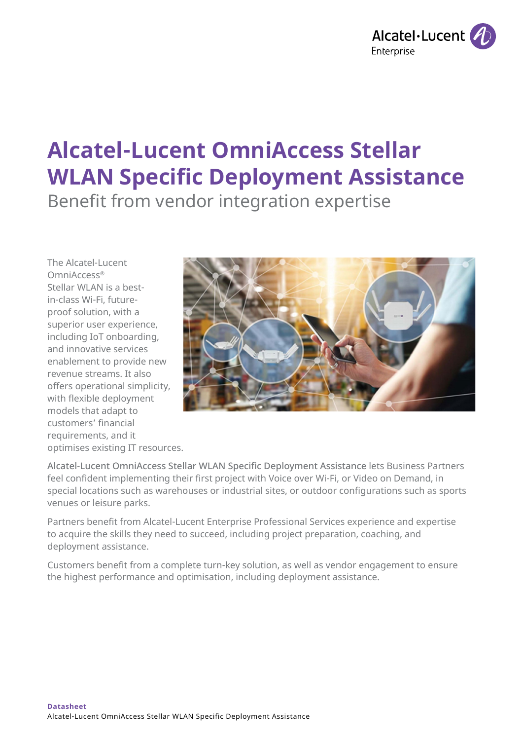

# **Alcatel-Lucent OmniAccess Stellar WLAN Specific Deployment Assistance**

Benefit from vendor integration expertise

The Alcatel-Lucent OmniAccess® Stellar WLAN is a bestin-class Wi-Fi, futureproof solution, with a superior user experience, including IoT onboarding, and innovative services enablement to provide new revenue streams. It also offers operational simplicity, with flexible deployment models that adapt to customers' financial requirements, and it optimises existing IT resources.



Alcatel-Lucent OmniAccess Stellar WLAN Specific Deployment Assistance lets Business Partners feel confident implementing their first project with Voice over Wi-Fi, or Video on Demand, in special locations such as warehouses or industrial sites, or outdoor configurations such as sports venues or leisure parks.

Partners benefit from Alcatel-Lucent Enterprise Professional Services experience and expertise to acquire the skills they need to succeed, including project preparation, coaching, and deployment assistance.

Customers benefit from a complete turn-key solution, as well as vendor engagement to ensure the highest performance and optimisation, including deployment assistance.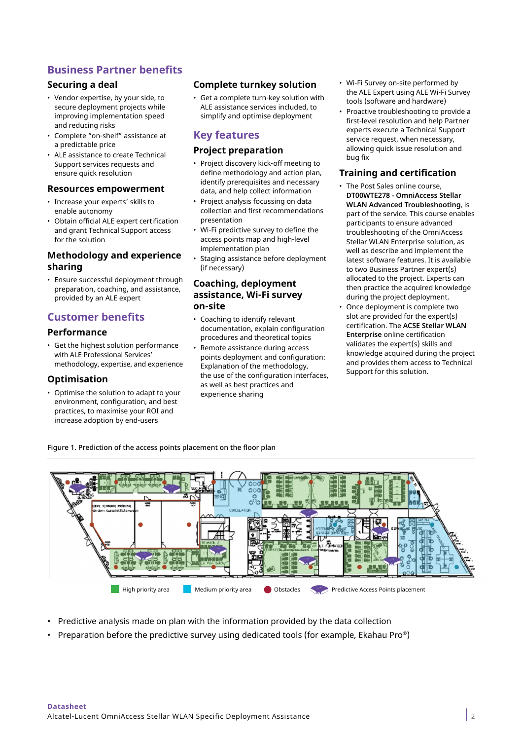# **Business Partner benefits**

# **Securing a deal**

- Vendor expertise, by your side, to secure deployment projects while improving implementation speed and reducing risks
- Complete "on-shelf" assistance at a predictable price
- ALE assistance to create Technical Support services requests and ensure quick resolution

#### **Resources empowerment**

- Increase your experts' skills to enable autonomy
- Obtain official ALE expert certification and grant Technical Support access for the solution

# **Methodology and experience sharing**

• Ensure successful deployment through preparation, coaching, and assistance, provided by an ALE expert

# **Customer benefits**

## **Performance**

• Get the highest solution performance with ALE Professional Services' methodology, expertise, and experience

## **Optimisation**

• Optimise the solution to adapt to your environment, configuration, and best practices, to maximise your ROI and increase adoption by end-users

## **Complete turnkey solution**

• Get a complete turn-key solution with ALE assistance services included, to simplify and optimise deployment

# **Key features**

#### **Project preparation**

- Project discovery kick-off meeting to define methodology and action plan, identify prerequisites and necessary data, and help collect information
- Project analysis focussing on data collection and first recommendations presentation
- Wi-Fi predictive survey to define the access points map and high-level implementation plan
- Staging assistance before deployment (if necessary)

#### **Coaching, deployment assistance, Wi-Fi survey on-site**

- Coaching to identify relevant documentation, explain configuration procedures and theoretical topics
- Remote assistance during access points deployment and configuration: Explanation of the methodology, the use of the configuration interfaces, as well as best practices and experience sharing
- Wi-Fi Survey on-site performed by the ALE Expert using ALE Wi-Fi Survey tools (software and hardware)
- Proactive troubleshooting to provide a first-level resolution and help Partner experts execute a Technical Support service request, when necessary, allowing quick issue resolution and bug fix

## **Training and certification**

- The Post Sales online course, **DT00WTE278 - OmniAccess Stellar WLAN Advanced Troubleshooting**, is part of the service. This course enables participants to ensure advanced troubleshooting of the OmniAccess Stellar WLAN Enterprise solution, as well as describe and implement the latest software features. It is available to two Business Partner expert(s) allocated to the project. Experts can then practice the acquired knowledge during the project deployment.
- Once deployment is complete two slot are provided for the expert(s) certification. The **ACSE Stellar WLAN Enterprise** online certification validates the expert(s) skills and knowledge acquired during the project and provides them access to Technical Support for this solution.

Figure 1. Prediction of the access points placement on the floor plan



- Predictive analysis made on plan with the information provided by the data collection
- Preparation before the predictive survey using dedicated tools (for example, Ekahau Pro®)